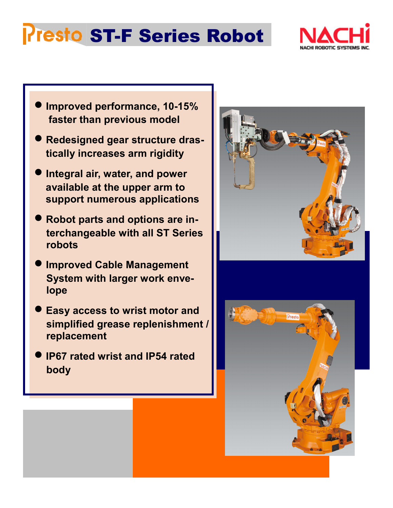## **Presto ST-F Series Robot**



- **Improved performance, 10-15% faster than previous model**
- **Redesigned gear structure drastically increases arm rigidity**
- **Integral air, water, and power available at the upper arm to support numerous applications**
- **Robot parts and options are interchangeable with all ST Series robots**
- **Improved Cable Management System with larger work envelope**
- **Easy access to wrist motor and simplified grease replenishment / replacement**
- **IP67 rated wrist and IP54 rated body**